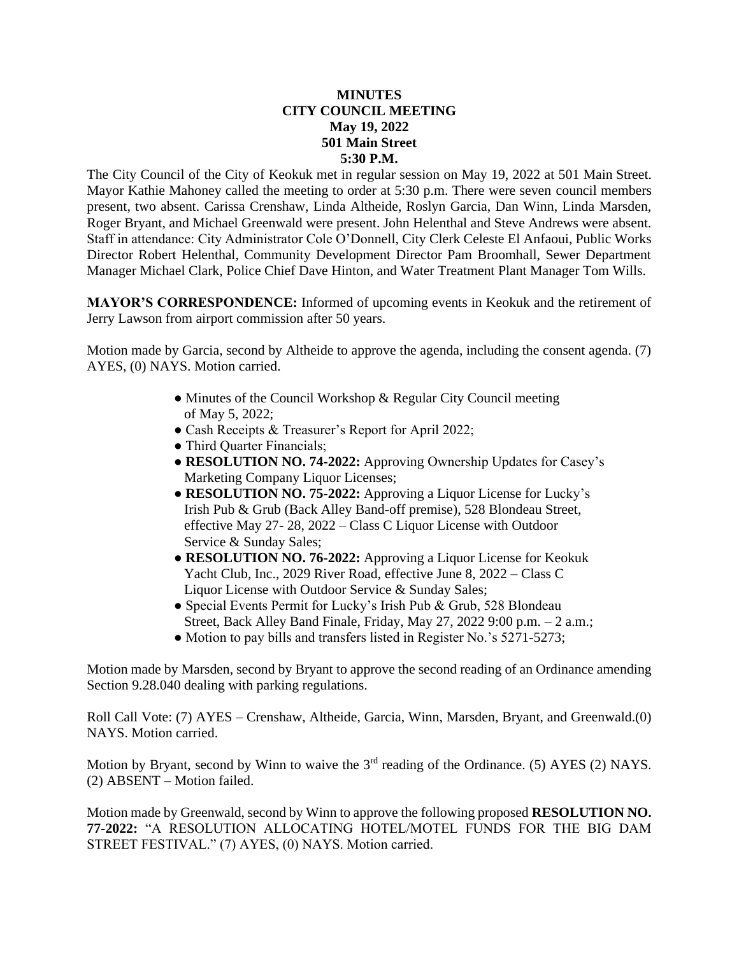## **MINUTES CITY COUNCIL MEETING May 19, 2022 501 Main Street 5:30 P.M.**

The City Council of the City of Keokuk met in regular session on May 19, 2022 at 501 Main Street. Mayor Kathie Mahoney called the meeting to order at 5:30 p.m. There were seven council members present, two absent. Carissa Crenshaw, Linda Altheide, Roslyn Garcia, Dan Winn, Linda Marsden, Roger Bryant, and Michael Greenwald were present. John Helenthal and Steve Andrews were absent. Staff in attendance: City Administrator Cole O'Donnell, City Clerk Celeste El Anfaoui, Public Works Director Robert Helenthal, Community Development Director Pam Broomhall, Sewer Department Manager Michael Clark, Police Chief Dave Hinton, and Water Treatment Plant Manager Tom Wills.

**MAYOR'S CORRESPONDENCE:** Informed of upcoming events in Keokuk and the retirement of Jerry Lawson from airport commission after 50 years.

Motion made by Garcia, second by Altheide to approve the agenda, including the consent agenda. (7) AYES, (0) NAYS. Motion carried.

- Minutes of the Council Workshop & Regular City Council meeting of May 5, 2022;
- Cash Receipts & Treasurer's Report for April 2022;
- Third Quarter Financials;
- **RESOLUTION NO. 74-2022:** Approving Ownership Updates for Casey's Marketing Company Liquor Licenses;
- **RESOLUTION NO. 75-2022:** Approving a Liquor License for Lucky's Irish Pub & Grub (Back Alley Band-off premise), 528 Blondeau Street, effective May 27- 28, 2022 – Class C Liquor License with Outdoor Service & Sunday Sales;
- **RESOLUTION NO. 76-2022:** Approving a Liquor License for Keokuk Yacht Club, Inc., 2029 River Road, effective June 8, 2022 – Class C Liquor License with Outdoor Service & Sunday Sales;
- Special Events Permit for Lucky's Irish Pub & Grub, 528 Blondeau Street, Back Alley Band Finale, Friday, May 27, 2022 9:00 p.m. – 2 a.m.;
- Motion to pay bills and transfers listed in Register No.'s 5271-5273;

Motion made by Marsden, second by Bryant to approve the second reading of an Ordinance amending Section 9.28.040 dealing with parking regulations.

Roll Call Vote: (7) AYES – Crenshaw, Altheide, Garcia, Winn, Marsden, Bryant, and Greenwald.(0) NAYS. Motion carried.

Motion by Bryant, second by Winn to waive the  $3<sup>rd</sup>$  reading of the Ordinance. (5) AYES (2) NAYS. (2) ABSENT – Motion failed.

Motion made by Greenwald, second by Winn to approve the following proposed **RESOLUTION NO. 77-2022:** "A RESOLUTION ALLOCATING HOTEL/MOTEL FUNDS FOR THE BIG DAM STREET FESTIVAL." (7) AYES, (0) NAYS. Motion carried.